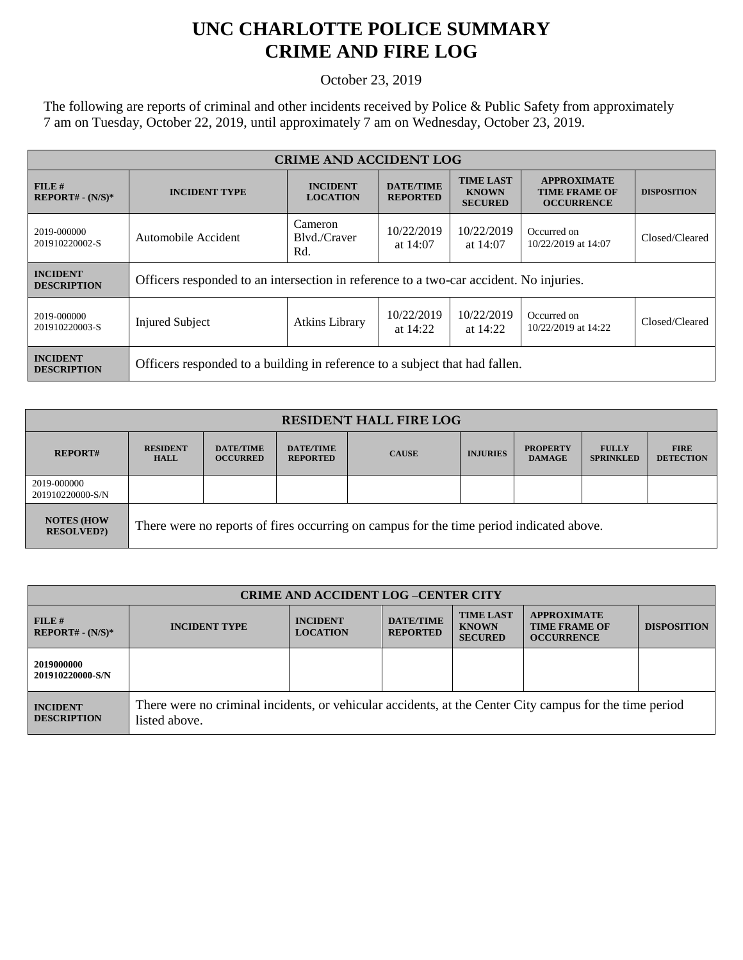## **UNC CHARLOTTE POLICE SUMMARY CRIME AND FIRE LOG**

October 23, 2019

The following are reports of criminal and other incidents received by Police & Public Safety from approximately 7 am on Tuesday, October 22, 2019, until approximately 7 am on Wednesday, October 23, 2019.

| <b>CRIME AND ACCIDENT LOG</b>         |                                                                                        |                                                                                        |                                     |                                                    |                                                                 |                    |  |
|---------------------------------------|----------------------------------------------------------------------------------------|----------------------------------------------------------------------------------------|-------------------------------------|----------------------------------------------------|-----------------------------------------------------------------|--------------------|--|
| $FILE$ #<br>$REPORT# - (N/S)*$        | <b>INCIDENT TYPE</b>                                                                   | <b>INCIDENT</b><br><b>LOCATION</b>                                                     | <b>DATE/TIME</b><br><b>REPORTED</b> | <b>TIME LAST</b><br><b>KNOWN</b><br><b>SECURED</b> | <b>APPROXIMATE</b><br><b>TIME FRAME OF</b><br><b>OCCURRENCE</b> | <b>DISPOSITION</b> |  |
| 2019-000000<br>201910220002-S         | Automobile Accident                                                                    | Cameron<br>10/22/2019<br>10/22/2019<br>Blyd./Craver<br>at $14:07$<br>at $14:07$<br>Rd. |                                     |                                                    | Occurred on<br>10/22/2019 at 14:07                              | Closed/Cleared     |  |
| <b>INCIDENT</b><br><b>DESCRIPTION</b> | Officers responded to an intersection in reference to a two-car accident. No injuries. |                                                                                        |                                     |                                                    |                                                                 |                    |  |
| 2019-000000<br>201910220003-S         | <b>Injured Subject</b>                                                                 | <b>Atkins Library</b>                                                                  | 10/22/2019<br>at $14:22$            | 10/22/2019<br>at 14:22                             | Occurred on<br>10/22/2019 at 14:22                              | Closed/Cleared     |  |
| <b>INCIDENT</b><br><b>DESCRIPTION</b> | Officers responded to a building in reference to a subject that had fallen.            |                                                                                        |                                     |                                                    |                                                                 |                    |  |

| <b>RESIDENT HALL FIRE LOG</b>         |                                                                                         |                                     |                                     |              |                 |                                  |                                  |                                 |
|---------------------------------------|-----------------------------------------------------------------------------------------|-------------------------------------|-------------------------------------|--------------|-----------------|----------------------------------|----------------------------------|---------------------------------|
| <b>REPORT#</b>                        | <b>RESIDENT</b><br><b>HALL</b>                                                          | <b>DATE/TIME</b><br><b>OCCURRED</b> | <b>DATE/TIME</b><br><b>REPORTED</b> | <b>CAUSE</b> | <b>INJURIES</b> | <b>PROPERTY</b><br><b>DAMAGE</b> | <b>FULLY</b><br><b>SPRINKLED</b> | <b>FIRE</b><br><b>DETECTION</b> |
| 2019-000000<br>201910220000-S/N       |                                                                                         |                                     |                                     |              |                 |                                  |                                  |                                 |
| <b>NOTES (HOW</b><br><b>RESOLVED?</b> | There were no reports of fires occurring on campus for the time period indicated above. |                                     |                                     |              |                 |                                  |                                  |                                 |

| <b>CRIME AND ACCIDENT LOG-CENTER CITY</b> |                                                                                                                          |                                    |                                     |                                                    |                                                                 |                    |
|-------------------------------------------|--------------------------------------------------------------------------------------------------------------------------|------------------------------------|-------------------------------------|----------------------------------------------------|-----------------------------------------------------------------|--------------------|
| FILE H<br>$REPORT# - (N/S)*$              | <b>INCIDENT TYPE</b>                                                                                                     | <b>INCIDENT</b><br><b>LOCATION</b> | <b>DATE/TIME</b><br><b>REPORTED</b> | <b>TIME LAST</b><br><b>KNOWN</b><br><b>SECURED</b> | <b>APPROXIMATE</b><br><b>TIME FRAME OF</b><br><b>OCCURRENCE</b> | <b>DISPOSITION</b> |
| 2019000000<br>201910220000-S/N            |                                                                                                                          |                                    |                                     |                                                    |                                                                 |                    |
| <b>INCIDENT</b><br><b>DESCRIPTION</b>     | There were no criminal incidents, or vehicular accidents, at the Center City campus for the time period<br>listed above. |                                    |                                     |                                                    |                                                                 |                    |